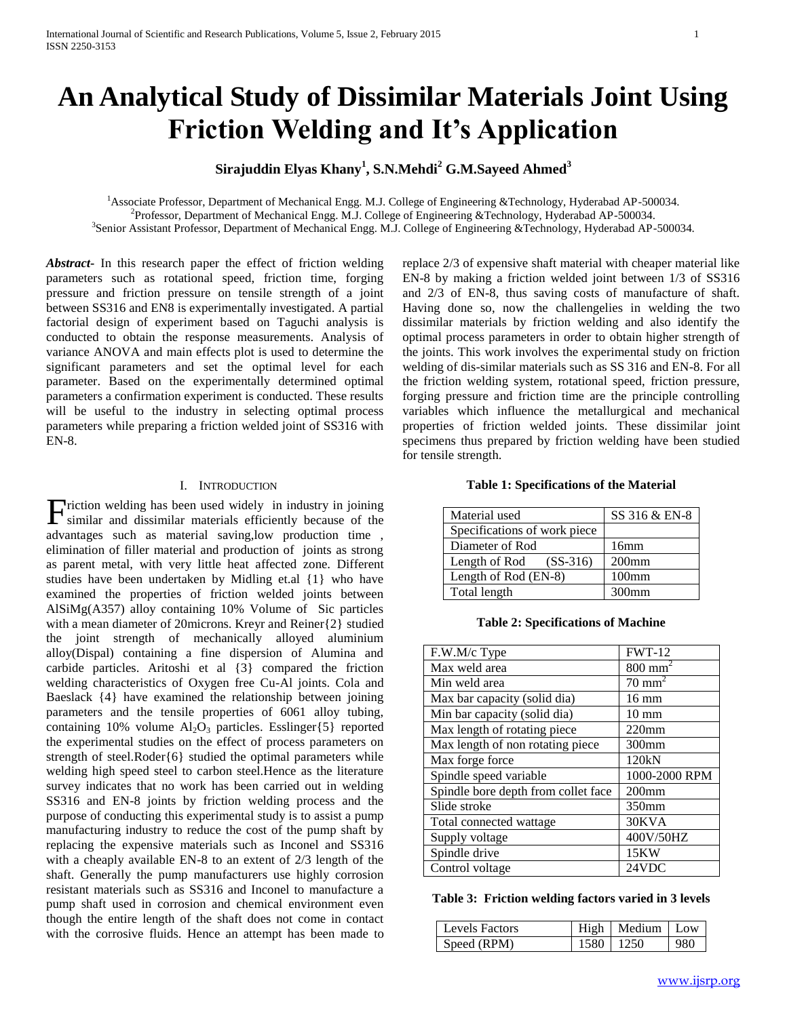# **An Analytical Study of Dissimilar Materials Joint Using Friction Welding and It's Application**

# **Sirajuddin Elyas Khany<sup>1</sup> , S.N.Mehdi<sup>2</sup> G.M.Sayeed Ahmed<sup>3</sup>**

<sup>1</sup>Associate Professor, Department of Mechanical Engg. M.J. College of Engineering &Technology, Hyderabad AP-500034. 2 Professor, Department of Mechanical Engg. M.J. College of Engineering &Technology, Hyderabad AP-500034. 3 Senior Assistant Professor, Department of Mechanical Engg. M.J. College of Engineering &Technology, Hyderabad AP-500034.

*Abstract***-** In this research paper the effect of friction welding parameters such as rotational speed, friction time, forging pressure and friction pressure on tensile strength of a joint between SS316 and EN8 is experimentally investigated. A partial factorial design of experiment based on Taguchi analysis is conducted to obtain the response measurements. Analysis of variance ANOVA and main effects plot is used to determine the significant parameters and set the optimal level for each parameter. Based on the experimentally determined optimal parameters a confirmation experiment is conducted. These results will be useful to the industry in selecting optimal process parameters while preparing a friction welded joint of SS316 with EN-8.

# I. INTRODUCTION

riction welding has been used widely in industry in joining Friction welding has been used widely in industry in joining similar and dissimilar materials efficiently because of the advantages such as material saving,low production time , elimination of filler material and production of joints as strong as parent metal, with very little heat affected zone. Different studies have been undertaken by Midling et.al {1} who have examined the properties of friction welded joints between AlSiMg(A357) alloy containing 10% Volume of Sic particles with a mean diameter of 20microns. Kreyr and Reiner{2} studied the joint strength of mechanically alloyed aluminium alloy(Dispal) containing a fine dispersion of Alumina and carbide particles. Aritoshi et al {3} compared the friction welding characteristics of Oxygen free Cu-Al joints. Cola and Baeslack {4} have examined the relationship between joining parameters and the tensile properties of 6061 alloy tubing, containing 10% volume  $Al_2O_3$  particles. Esslinger{5} reported the experimental studies on the effect of process parameters on strength of steel.Roder{6} studied the optimal parameters while welding high speed steel to carbon steel.Hence as the literature survey indicates that no work has been carried out in welding SS316 and EN-8 joints by friction welding process and the purpose of conducting this experimental study is to assist a pump manufacturing industry to reduce the cost of the pump shaft by replacing the expensive materials such as Inconel and SS316 with a cheaply available EN-8 to an extent of 2/3 length of the shaft. Generally the pump manufacturers use highly corrosion resistant materials such as SS316 and Inconel to manufacture a pump shaft used in corrosion and chemical environment even though the entire length of the shaft does not come in contact with the corrosive fluids. Hence an attempt has been made to

replace 2/3 of expensive shaft material with cheaper material like EN-8 by making a friction welded joint between 1/3 of SS316 and 2/3 of EN-8, thus saving costs of manufacture of shaft. Having done so, now the challengelies in welding the two dissimilar materials by friction welding and also identify the optimal process parameters in order to obtain higher strength of the joints. This work involves the experimental study on friction welding of dis-similar materials such as SS 316 and EN-8. For all the friction welding system, rotational speed, friction pressure, forging pressure and friction time are the principle controlling variables which influence the metallurgical and mechanical properties of friction welded joints. These dissimilar joint specimens thus prepared by friction welding have been studied for tensile strength.

# **Table 1: Specifications of the Material**

| Material used                | SS 316 & EN-8     |
|------------------------------|-------------------|
| Specifications of work piece |                   |
| Diameter of Rod              | 16mm              |
| Length of Rod $(SS-316)$     | $200$ mm          |
| Length of Rod (EN-8)         | 100 <sub>mm</sub> |
| Total length                 | $300$ mm          |

**Table 2: Specifications of Machine**

| F.W.M/c Type                        | <b>FWT-12</b>         |
|-------------------------------------|-----------------------|
| Max weld area                       | $800$ mm <sup>2</sup> |
| Min weld area                       | $70 \text{ mm}^2$     |
| Max bar capacity (solid dia)        | $16 \text{ mm}$       |
| Min bar capacity (solid dia)        | $10 \text{ mm}$       |
| Max length of rotating piece        | $220$ mm              |
| Max length of non rotating piece    | $300$ mm              |
| Max forge force                     | 120kN                 |
| Spindle speed variable              | 1000-2000 RPM         |
| Spindle bore depth from collet face | $200$ mm              |
| Slide stroke                        | 350mm                 |
| Total connected wattage             | 30KVA                 |
| Supply voltage                      | 400V/50HZ             |
| Spindle drive                       | 15KW                  |
| Control voltage                     | 24VDC                 |

# **Table 3: Friction welding factors varied in 3 levels**

| Levels Factors | High   Medium   Low |     |
|----------------|---------------------|-----|
| Speed (RPM)    | 1580   1250         | 980 |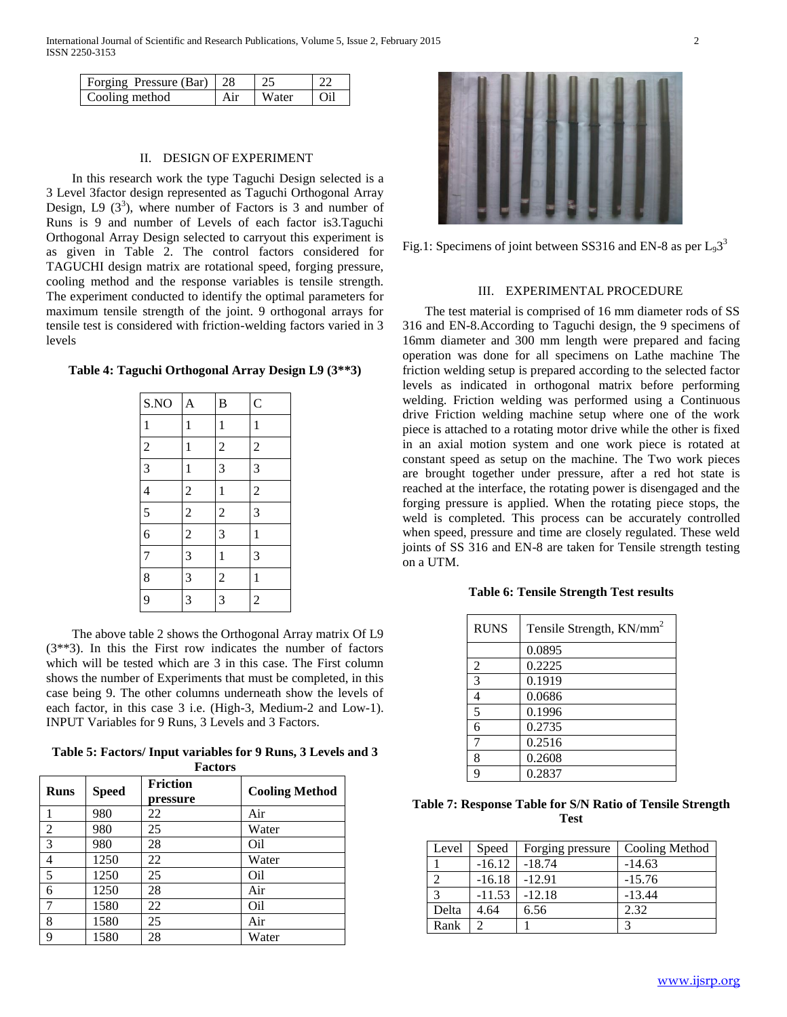| Forging Pressure (Bar)   28 |     |       |       |
|-----------------------------|-----|-------|-------|
| Cooling method              | Air | Water | l Oil |

### II. DESIGN OF EXPERIMENT

 In this research work the type Taguchi Design selected is a 3 Level 3factor design represented as Taguchi Orthogonal Array Design, L9  $(3^3)$ , where number of Factors is 3 and number of Runs is 9 and number of Levels of each factor is3.Taguchi Orthogonal Array Design selected to carryout this experiment is as given in Table 2. The control factors considered for TAGUCHI design matrix are rotational speed, forging pressure, cooling method and the response variables is tensile strength. The experiment conducted to identify the optimal parameters for maximum tensile strength of the joint. 9 orthogonal arrays for tensile test is considered with friction-welding factors varied in 3 levels

#### **Table 4: Taguchi Orthogonal Array Design L9 (3\*\*3)**

| S.NO           | A              | $\bf{B}$       | $\overline{C}$ |
|----------------|----------------|----------------|----------------|
| $\mathbf{1}$   | $\mathbf{1}$   | $\mathbf{1}$   | $\mathbf{1}$   |
| $\overline{c}$ | $\mathbf{1}$   | $\overline{c}$ | $\overline{c}$ |
| $\overline{3}$ | $\mathbf{1}$   | $\overline{3}$ | $\overline{3}$ |
| $\overline{4}$ | $\overline{c}$ | $\mathbf{1}$   | $\overline{c}$ |
| $\overline{5}$ | $\overline{c}$ | $\overline{c}$ | $\overline{3}$ |
| 6              | $\overline{c}$ | 3              | $\mathbf{1}$   |
| $\overline{7}$ | 3              | $\mathbf{1}$   | 3              |
| 8              | 3              | $\overline{c}$ | $\mathbf{1}$   |
| 9              | 3              | 3              | $\overline{c}$ |

 The above table 2 shows the Orthogonal Array matrix Of L9 (3\*\*3). In this the First row indicates the number of factors which will be tested which are 3 in this case. The First column shows the number of Experiments that must be completed, in this case being 9. The other columns underneath show the levels of each factor, in this case 3 i.e. (High-3, Medium-2 and Low-1). INPUT Variables for 9 Runs, 3 Levels and 3 Factors.

**Table 5: Factors/ Input variables for 9 Runs, 3 Levels and 3 Factors**

| <b>Runs</b>    | <b>Speed</b> | <b>Friction</b><br>pressure | <b>Cooling Method</b> |
|----------------|--------------|-----------------------------|-----------------------|
|                | 980          | 22                          | Air                   |
| $\overline{2}$ | 980          | 25                          | Water                 |
| 3              | 980          | 28                          | Oil                   |
| 4              | 1250         | 22                          | Water                 |
| 5              | 1250         | 25                          | Oil                   |
| 6              | 1250         | 28                          | Air                   |
| 7              | 1580         | 22                          | O <sub>il</sub>       |
| 8              | 1580         | 25                          | Air                   |
| 9              | 1580         | 28                          | Water                 |



Fig.1: Specimens of joint between SS316 and EN-8 as per  $L_93^3$ 

#### III. EXPERIMENTAL PROCEDURE

 The test material is comprised of 16 mm diameter rods of SS 316 and EN-8.According to Taguchi design, the 9 specimens of 16mm diameter and 300 mm length were prepared and facing operation was done for all specimens on Lathe machine The friction welding setup is prepared according to the selected factor levels as indicated in orthogonal matrix before performing welding. Friction welding was performed using a Continuous drive Friction welding machine setup where one of the work piece is attached to a rotating motor drive while the other is fixed in an axial motion system and one work piece is rotated at constant speed as setup on the machine. The Two work pieces are brought together under pressure, after a red hot state is reached at the interface, the rotating power is disengaged and the forging pressure is applied. When the rotating piece stops, the weld is completed. This process can be accurately controlled when speed, pressure and time are closely regulated. These weld joints of SS 316 and EN-8 are taken for Tensile strength testing on a UTM.

#### **Table 6: Tensile Strength Test results**

| <b>RUNS</b>    | Tensile Strength, KN/mm <sup>2</sup> |
|----------------|--------------------------------------|
|                | 0.0895                               |
| $\overline{2}$ | 0.2225                               |
| 3              | 0.1919                               |
| 4              | 0.0686                               |
| 5              | 0.1996                               |
| 6              | 0.2735                               |
| 7              | 0.2516                               |
| 8              | 0.2608                               |
| q              | 0.2837                               |

| Table 7: Response Table for S/N Ratio of Tensile Strength |      |  |  |
|-----------------------------------------------------------|------|--|--|
|                                                           | Test |  |  |

| Level | Speed    | Forging pressure | Cooling Method |
|-------|----------|------------------|----------------|
|       | $-16.12$ | $-18.74$         | $-14.63$       |
|       | $-16.18$ | $-12.91$         | $-15.76$       |
| 2     | $-11.53$ | $-12.18$         | $-13.44$       |
| Delta | 4.64     | 6.56             | 2.32           |
| Rank  |          |                  | 3              |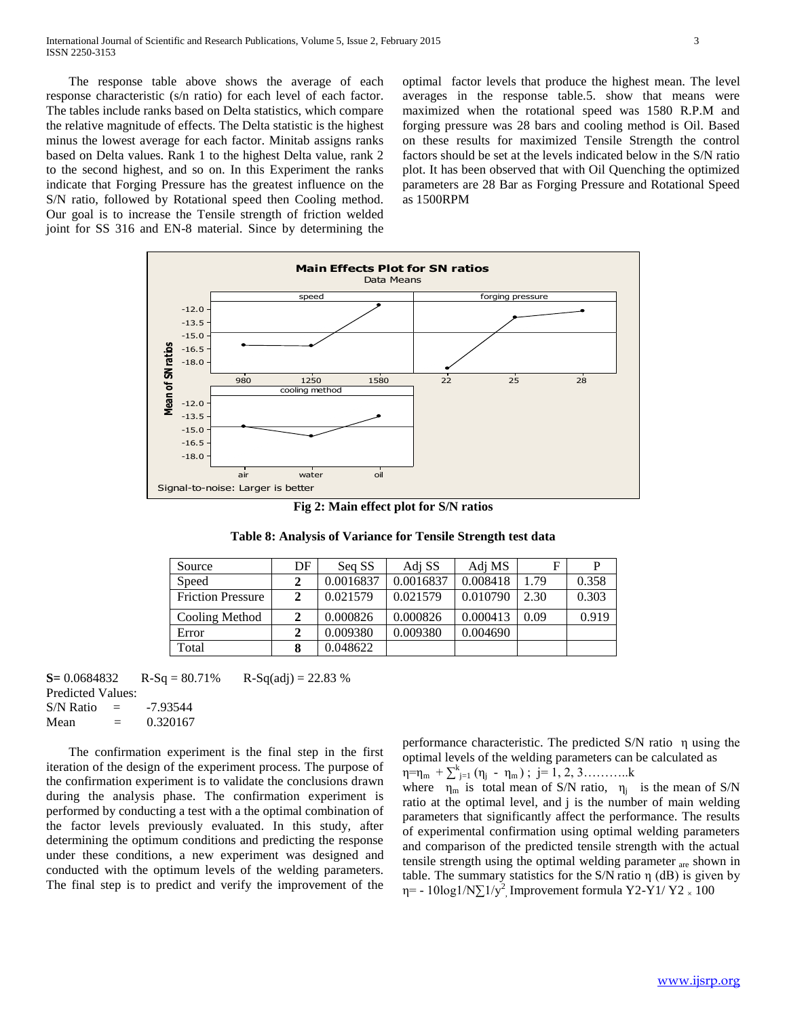The response table above shows the average of each response characteristic (s/n ratio) for each level of each factor. The tables include ranks based on Delta statistics, which compare the relative magnitude of effects. The Delta statistic is the highest minus the lowest average for each factor. Minitab assigns ranks based on Delta values. Rank 1 to the highest Delta value, rank 2 to the second highest, and so on. In this Experiment the ranks indicate that Forging Pressure has the greatest influence on the S/N ratio, followed by Rotational speed then Cooling method. Our goal is to increase the Tensile strength of friction welded joint for SS 316 and EN-8 material. Since by determining the optimal factor levels that produce the highest mean. The level averages in the response table.5. show that means were maximized when the rotational speed was 1580 R.P.M and forging pressure was 28 bars and cooling method is Oil. Based on these results for maximized Tensile Strength the control factors should be set at the levels indicated below in the S/N ratio plot. It has been observed that with Oil Quenching the optimized parameters are 28 Bar as Forging Pressure and Rotational Speed as 1500RPM



**Fig 2: Main effect plot for S/N ratios**

**Table 8: Analysis of Variance for Tensile Strength test data**

| Source                   | DF | Seq SS    | Adj SS    | Adj MS   | F    |       |
|--------------------------|----|-----------|-----------|----------|------|-------|
| Speed                    |    | 0.0016837 | 0.0016837 | 0.008418 | 1.79 | 0.358 |
| <b>Friction Pressure</b> |    | 0.021579  | 0.021579  | 0.010790 | 2.30 | 0.303 |
| Cooling Method           |    | 0.000826  | 0.000826  | 0.000413 | 0.09 | 0.919 |
| Error                    |    | 0.009380  | 0.009380  | 0.004690 |      |       |
| Total                    |    | 0.048622  |           |          |      |       |

**S**=  $0.0684832$  R-Sq =  $80.71\%$  R-Sq(adj) = 22.83 % Predicted Values:

 $S/N$  Ratio =  $-7.93544$ Mean  $= 0.320167$ 

 The confirmation experiment is the final step in the first iteration of the design of the experiment process. The purpose of the confirmation experiment is to validate the conclusions drawn during the analysis phase. The confirmation experiment is performed by conducting a test with a the optimal combination of the factor levels previously evaluated. In this study, after determining the optimum conditions and predicting the response under these conditions, a new experiment was designed and conducted with the optimum levels of the welding parameters. The final step is to predict and verify the improvement of the

performance characteristic. The predicted S/N ratio η using the optimal levels of the welding parameters can be calculated as  $\eta = \eta_m + \sum_{j=1}^k (\eta_j - \eta_m)$ ; j= 1, 2, 3............k

where  $\eta_m$  is total mean of S/N ratio,  $\eta_i$  is the mean of S/N ratio at the optimal level, and j is the number of main welding parameters that significantly affect the performance. The results of experimental confirmation using optimal welding parameters and comparison of the predicted tensile strength with the actual tensile strength using the optimal welding parameter <sub>are</sub> shown in table. The summary statistics for the S/N ratio η (dB) is given by η= - 10log1/N $\Sigma$ 1/y<sup>2</sup>, Improvement formula Y2-Y1/Y2  $_{\times}$  100